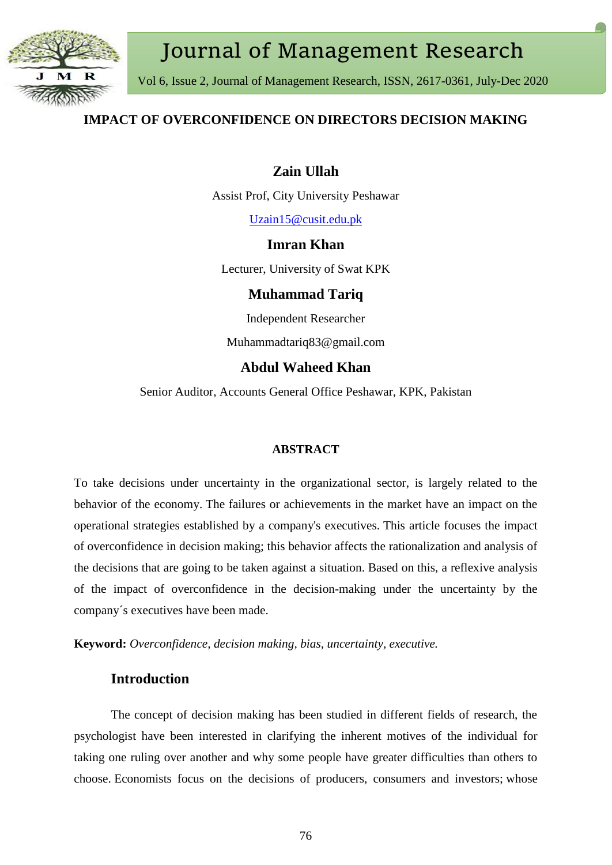

# Journal of Management Research

Vol 6, Issue 2, Journal of Management Research, ISSN, 2617-0361, July-Dec 2020

## **IMPACT OF OVERCONFIDENCE ON DIRECTORS DECISION MAKING**

## **Zain Ullah**

Assist Prof, City University Peshawar

[Uzain15@cusit.edu.pk](mailto:Uzain15@cusit.edu.pk)

## **Imran Khan**

Lecturer, University of Swat KPK

## **Muhammad Tariq**

Independent Researcher

Muhammadtariq83@gmail.com

## **Abdul Waheed Khan**

Senior Auditor, Accounts General Office Peshawar, KPK, Pakistan

#### **ABSTRACT**

To take decisions under uncertainty in the organizational sector, is largely related to the behavior of the economy. The failures or achievements in the market have an impact on the operational strategies established by a company's executives. This article focuses the impact of overconfidence in decision making; this behavior affects the rationalization and analysis of the decisions that are going to be taken against a situation. Based on this, a reflexive analysis of the impact of overconfidence in the decision-making under the uncertainty by the company´s executives have been made.

**Keyword:** *Overconfidence, decision making, bias, uncertainty, executive.*

## **Introduction**

The concept of decision making has been studied in different fields of research, the psychologist have been interested in clarifying the inherent motives of the individual for taking one ruling over another and why some people have greater difficulties than others to choose. Economists focus on the decisions of producers, consumers and investors; whose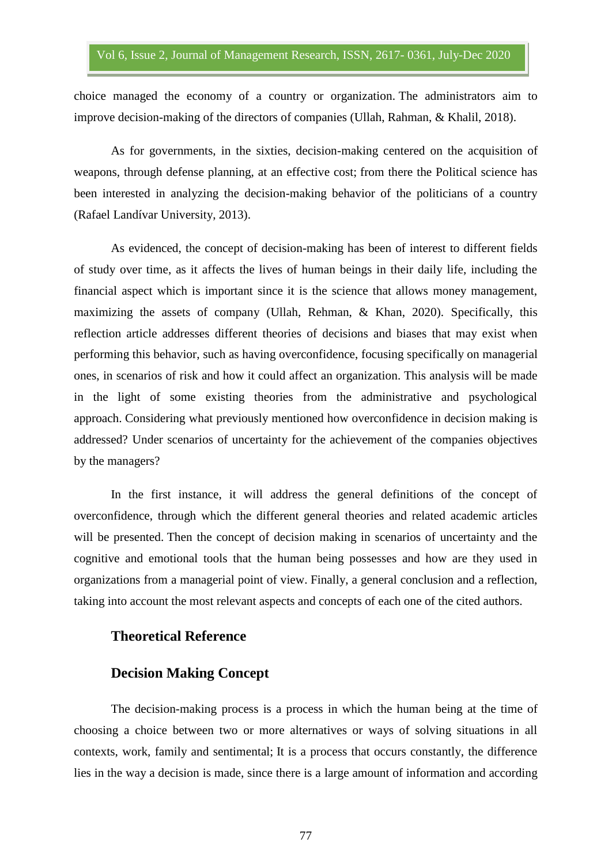choice managed the economy of a country or organization. The administrators aim to improve decision-making of the directors of companies (Ullah, Rahman, & Khalil, 2018).

As for governments, in the sixties, decision-making centered on the acquisition of weapons, through defense planning, at an effective cost; from there the Political science has been interested in analyzing the decision-making behavior of the politicians of a country (Rafael Landívar University, 2013).

As evidenced, the concept of decision-making has been of interest to different fields of study over time, as it affects the lives of human beings in their daily life, including the financial aspect which is important since it is the science that allows money management, maximizing the assets of company (Ullah, Rehman, & Khan, 2020). Specifically, this reflection article addresses different theories of decisions and biases that may exist when performing this behavior, such as having overconfidence, focusing specifically on managerial ones, in scenarios of risk and how it could affect an organization. This analysis will be made in the light of some existing theories from the administrative and psychological approach. Considering what previously mentioned how overconfidence in decision making is addressed? Under scenarios of uncertainty for the achievement of the companies objectives by the managers?

In the first instance, it will address the general definitions of the concept of overconfidence, through which the different general theories and related academic articles will be presented. Then the concept of decision making in scenarios of uncertainty and the cognitive and emotional tools that the human being possesses and how are they used in organizations from a managerial point of view. Finally, a general conclusion and a reflection, taking into account the most relevant aspects and concepts of each one of the cited authors.

## **Theoretical Reference**

#### **Decision Making Concept**

The decision-making process is a process in which the human being at the time of choosing a choice between two or more alternatives or ways of solving situations in all contexts, work, family and sentimental; It is a process that occurs constantly, the difference lies in the way a decision is made, since there is a large amount of information and according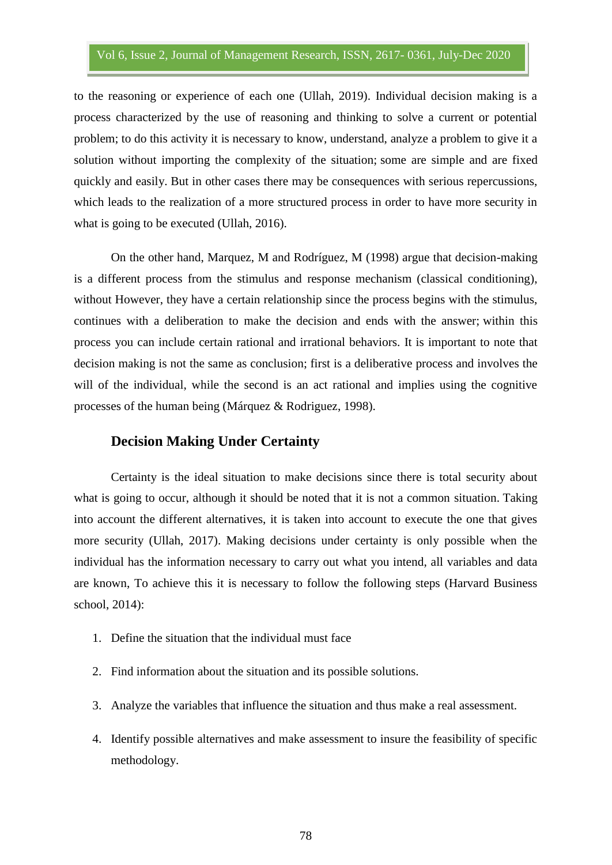to the reasoning or experience of each one (Ullah, 2019). Individual decision making is a process characterized by the use of reasoning and thinking to solve a current or potential problem; to do this activity it is necessary to know, understand, analyze a problem to give it a solution without importing the complexity of the situation; some are simple and are fixed quickly and easily. But in other cases there may be consequences with serious repercussions, which leads to the realization of a more structured process in order to have more security in what is going to be executed (Ullah, 2016).

On the other hand, Marquez, M and Rodríguez, M (1998) argue that decision-making is a different process from the stimulus and response mechanism (classical conditioning), without However, they have a certain relationship since the process begins with the stimulus, continues with a deliberation to make the decision and ends with the answer; within this process you can include certain rational and irrational behaviors. It is important to note that decision making is not the same as conclusion; first is a deliberative process and involves the will of the individual, while the second is an act rational and implies using the cognitive processes of the human being (Márquez & Rodriguez, 1998).

## **Decision Making Under Certainty**

Certainty is the ideal situation to make decisions since there is total security about what is going to occur, although it should be noted that it is not a common situation. Taking into account the different alternatives, it is taken into account to execute the one that gives more security (Ullah, 2017). Making decisions under certainty is only possible when the individual has the information necessary to carry out what you intend, all variables and data are known, To achieve this it is necessary to follow the following steps (Harvard Business school, 2014):

- 1. Define the situation that the individual must face
- 2. Find information about the situation and its possible solutions.
- 3. Analyze the variables that influence the situation and thus make a real assessment.
- 4. Identify possible alternatives and make assessment to insure the feasibility of specific methodology.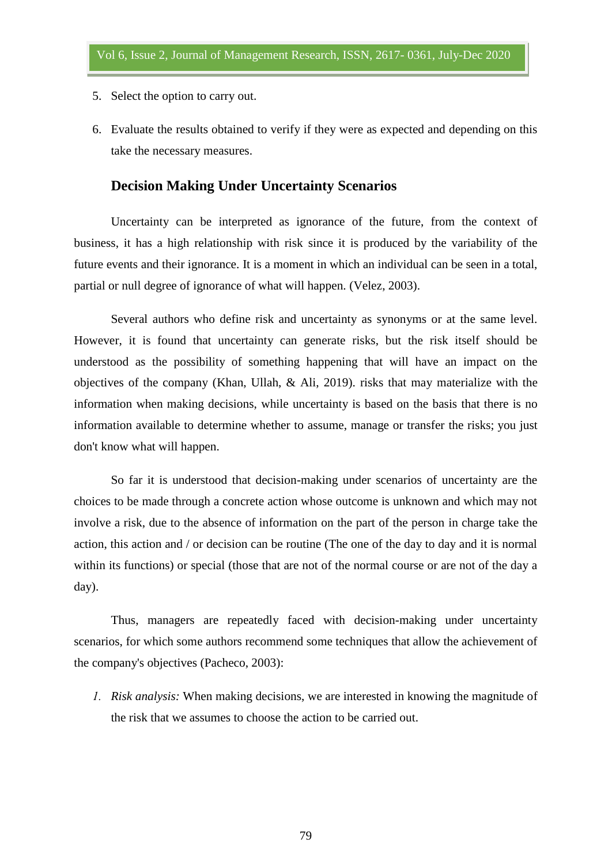- 5. Select the option to carry out.
- 6. Evaluate the results obtained to verify if they were as expected and depending on this take the necessary measures.

## **Decision Making Under Uncertainty Scenarios**

Uncertainty can be interpreted as ignorance of the future, from the context of business, it has a high relationship with risk since it is produced by the variability of the future events and their ignorance. It is a moment in which an individual can be seen in a total, partial or null degree of ignorance of what will happen. (Velez, 2003).

Several authors who define risk and uncertainty as synonyms or at the same level. However, it is found that uncertainty can generate risks, but the risk itself should be understood as the possibility of something happening that will have an impact on the objectives of the company (Khan, Ullah, & Ali, 2019). risks that may materialize with the information when making decisions, while uncertainty is based on the basis that there is no information available to determine whether to assume, manage or transfer the risks; you just don't know what will happen.

So far it is understood that decision-making under scenarios of uncertainty are the choices to be made through a concrete action whose outcome is unknown and which may not involve a risk, due to the absence of information on the part of the person in charge take the action, this action and / or decision can be routine (The one of the day to day and it is normal within its functions) or special (those that are not of the normal course or are not of the day a day).

Thus, managers are repeatedly faced with decision-making under uncertainty scenarios, for which some authors recommend some techniques that allow the achievement of the company's objectives (Pacheco, 2003):

*1. Risk analysis:* When making decisions, we are interested in knowing the magnitude of the risk that we assumes to choose the action to be carried out.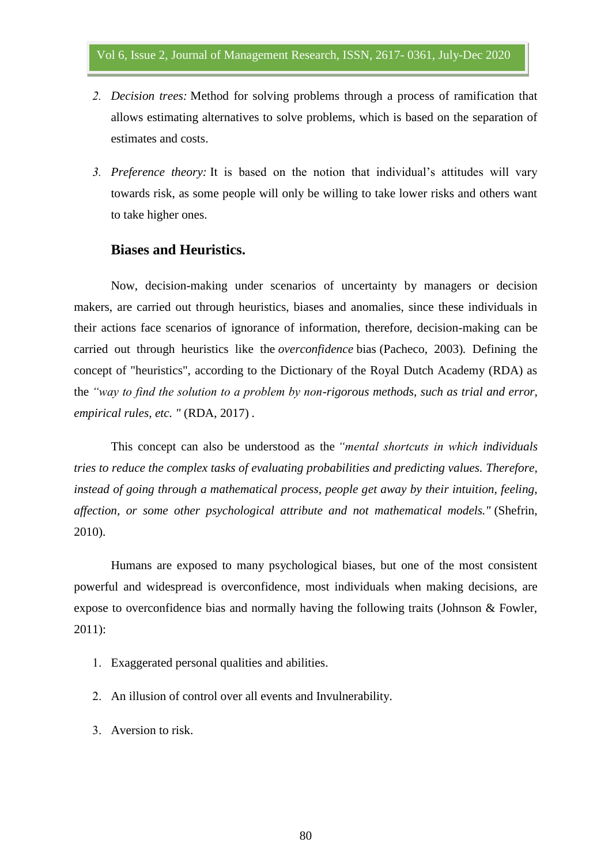- *2. Decision trees:* Method for solving problems through a process of ramification that allows estimating alternatives to solve problems, which is based on the separation of estimates and costs.
- *3. Preference theory:* It is based on the notion that individual's attitudes will vary towards risk, as some people will only be willing to take lower risks and others want to take higher ones.

## **Biases and Heuristics.**

Now, decision-making under scenarios of uncertainty by managers or decision makers, are carried out through heuristics, biases and anomalies, since these individuals in their actions face scenarios of ignorance of information, therefore, decision-making can be carried out through heuristics like the *overconfidence* bias (Pacheco, 2003)*.* Defining the concept of "heuristics", according to the Dictionary of the Royal Dutch Academy (RDA) as the *"way to find the solution to a problem by non-rigorous methods, such as trial and error, empirical rules, etc. "* (RDA, 2017) *.*

This concept can also be understood as the *"mental shortcuts in which individuals tries to reduce the complex tasks of evaluating probabilities and predicting values. Therefore, instead of going through a mathematical process, people get away by their intuition, feeling, affection, or some other psychological attribute and not mathematical models."* (Shefrin, 2010).

Humans are exposed to many psychological biases, but one of the most consistent powerful and widespread is overconfidence, most individuals when making decisions, are expose to overconfidence bias and normally having the following traits (Johnson & Fowler, 2011):

- 1. Exaggerated personal qualities and abilities.
- 2. An illusion of control over all events and Invulnerability.
- 3. Aversion to risk.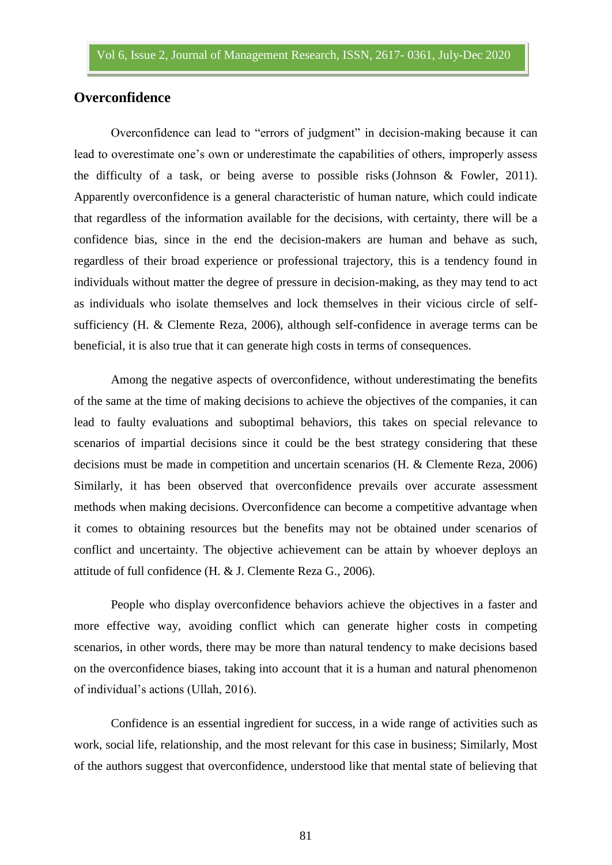## **Overconfidence**

Overconfidence can lead to "errors of judgment" in decision-making because it can lead to overestimate one's own or underestimate the capabilities of others, improperly assess the difficulty of a task, or being averse to possible risks (Johnson & Fowler, 2011). Apparently overconfidence is a general characteristic of human nature, which could indicate that regardless of the information available for the decisions, with certainty, there will be a confidence bias, since in the end the decision-makers are human and behave as such, regardless of their broad experience or professional trajectory, this is a tendency found in individuals without matter the degree of pressure in decision-making, as they may tend to act as individuals who isolate themselves and lock themselves in their vicious circle of selfsufficiency (H. & Clemente Reza, 2006), although self-confidence in average terms can be beneficial, it is also true that it can generate high costs in terms of consequences.

Among the negative aspects of overconfidence, without underestimating the benefits of the same at the time of making decisions to achieve the objectives of the companies, it can lead to faulty evaluations and suboptimal behaviors, this takes on special relevance to scenarios of impartial decisions since it could be the best strategy considering that these decisions must be made in competition and uncertain scenarios (H. & Clemente Reza, 2006) Similarly, it has been observed that overconfidence prevails over accurate assessment methods when making decisions. Overconfidence can become a competitive advantage when it comes to obtaining resources but the benefits may not be obtained under scenarios of conflict and uncertainty. The objective achievement can be attain by whoever deploys an attitude of full confidence (H. & J. Clemente Reza G., 2006).

People who display overconfidence behaviors achieve the objectives in a faster and more effective way, avoiding conflict which can generate higher costs in competing scenarios, in other words, there may be more than natural tendency to make decisions based on the overconfidence biases, taking into account that it is a human and natural phenomenon of individual's actions (Ullah, 2016).

Confidence is an essential ingredient for success, in a wide range of activities such as work, social life, relationship, and the most relevant for this case in business; Similarly, Most of the authors suggest that overconfidence, understood like that mental state of believing that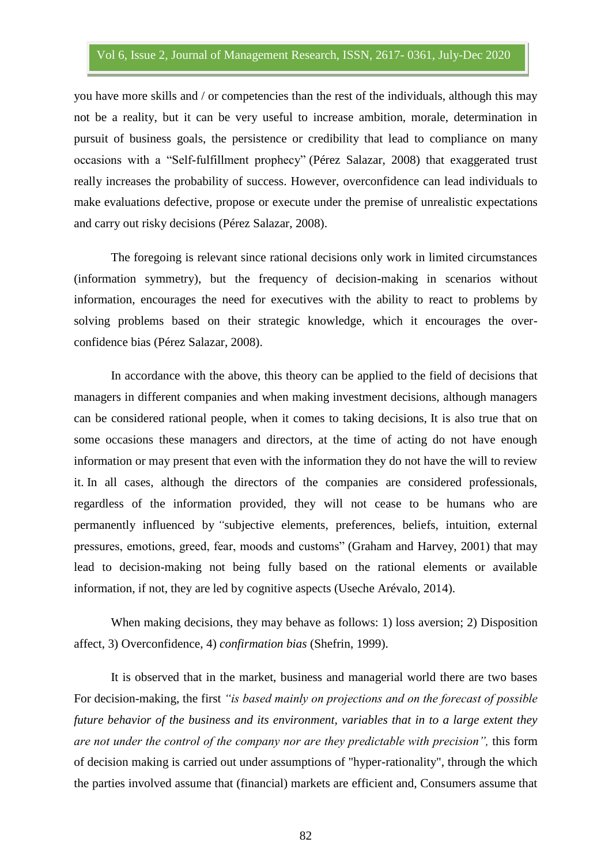you have more skills and / or competencies than the rest of the individuals, although this may not be a reality, but it can be very useful to increase ambition, morale, determination in pursuit of business goals, the persistence or credibility that lead to compliance on many occasions with a "Self-fulfillment prophecy" (Pérez Salazar, 2008) that exaggerated trust really increases the probability of success. However, overconfidence can lead individuals to make evaluations defective, propose or execute under the premise of unrealistic expectations and carry out risky decisions (Pérez Salazar, 2008).

The foregoing is relevant since rational decisions only work in limited circumstances (information symmetry), but the frequency of decision-making in scenarios without information, encourages the need for executives with the ability to react to problems by solving problems based on their strategic knowledge, which it encourages the overconfidence bias (Pérez Salazar, 2008).

In accordance with the above, this theory can be applied to the field of decisions that managers in different companies and when making investment decisions, although managers can be considered rational people, when it comes to taking decisions, It is also true that on some occasions these managers and directors, at the time of acting do not have enough information or may present that even with the information they do not have the will to review it. In all cases, although the directors of the companies are considered professionals, regardless of the information provided, they will not cease to be humans who are permanently influenced by *"*subjective elements, preferences, beliefs, intuition, external pressures, emotions, greed, fear, moods and customs" (Graham and Harvey, 2001) that may lead to decision-making not being fully based on the rational elements or available information, if not, they are led by cognitive aspects (Useche Arévalo, 2014).

When making decisions, they may behave as follows: 1) loss aversion; 2) Disposition affect, 3) Overconfidence, 4) *confirmation bias* (Shefrin, 1999).

It is observed that in the market, business and managerial world there are two bases For decision-making, the first *"is based mainly on projections and on the forecast of possible future behavior of the business and its environment, variables that in to a large extent they are not under the control of the company nor are they predictable with precision",* this form of decision making is carried out under assumptions of "hyper-rationality", through the which the parties involved assume that (financial) markets are efficient and, Consumers assume that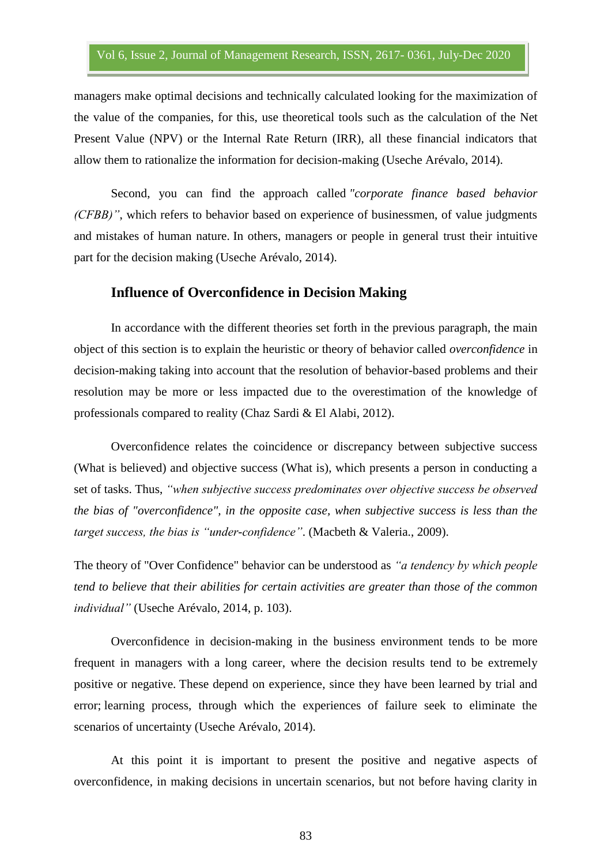managers make optimal decisions and technically calculated looking for the maximization of the value of the companies, for this, use theoretical tools such as the calculation of the Net Present Value (NPV) or the Internal Rate Return (IRR), all these financial indicators that allow them to rationalize the information for decision-making (Useche Arévalo, 2014).

Second, you can find the approach called *"corporate finance based behavior (CFBB)"*, which refers to behavior based on experience of businessmen, of value judgments and mistakes of human nature. In others, managers or people in general trust their intuitive part for the decision making (Useche Arévalo, 2014).

#### **Influence of Overconfidence in Decision Making**

In accordance with the different theories set forth in the previous paragraph, the main object of this section is to explain the heuristic or theory of behavior called *overconfidence* in decision-making taking into account that the resolution of behavior-based problems and their resolution may be more or less impacted due to the overestimation of the knowledge of professionals compared to reality (Chaz Sardi & El Alabi, 2012).

Overconfidence relates the coincidence or discrepancy between subjective success (What is believed) and objective success (What is), which presents a person in conducting a set of tasks. Thus, *"when subjective success predominates over objective success be observed the bias of "overconfidence", in the opposite case, when subjective success is less than the target success, the bias is "under-confidence"*. (Macbeth & Valeria., 2009).

The theory of "Over Confidence" behavior can be understood as *"a tendency by which people tend to believe that their abilities for certain activities are greater than those of the common individual"* (Useche Arévalo, 2014, p. 103).

Overconfidence in decision-making in the business environment tends to be more frequent in managers with a long career, where the decision results tend to be extremely positive or negative. These depend on experience, since they have been learned by trial and error; learning process, through which the experiences of failure seek to eliminate the scenarios of uncertainty (Useche Arévalo, 2014).

At this point it is important to present the positive and negative aspects of overconfidence, in making decisions in uncertain scenarios, but not before having clarity in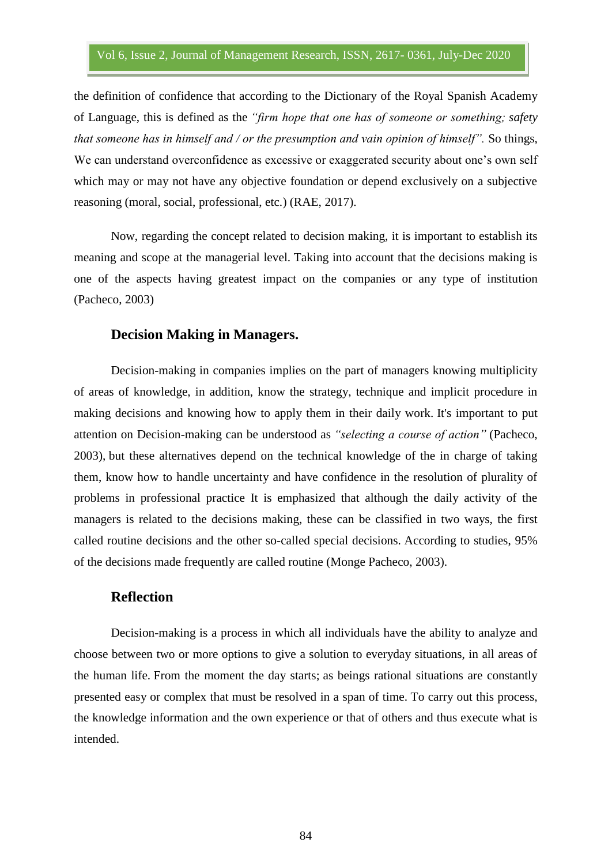the definition of confidence that according to the Dictionary of the Royal Spanish Academy of Language, this is defined as the *"firm hope that one has of someone or something; safety that someone has in himself and / or the presumption and vain opinion of himself".* So things, We can understand overconfidence as excessive or exaggerated security about one's own self which may or may not have any objective foundation or depend exclusively on a subjective reasoning (moral, social, professional, etc.) (RAE, 2017).

Now, regarding the concept related to decision making, it is important to establish its meaning and scope at the managerial level. Taking into account that the decisions making is one of the aspects having greatest impact on the companies or any type of institution (Pacheco, 2003)

## **Decision Making in Managers.**

Decision-making in companies implies on the part of managers knowing multiplicity of areas of knowledge, in addition, know the strategy, technique and implicit procedure in making decisions and knowing how to apply them in their daily work. It's important to put attention on Decision-making can be understood as *"selecting a course of action"* (Pacheco, 2003), but these alternatives depend on the technical knowledge of the in charge of taking them, know how to handle uncertainty and have confidence in the resolution of plurality of problems in professional practice It is emphasized that although the daily activity of the managers is related to the decisions making, these can be classified in two ways, the first called routine decisions and the other so-called special decisions. According to studies, 95% of the decisions made frequently are called routine (Monge Pacheco, 2003).

## **Reflection**

Decision-making is a process in which all individuals have the ability to analyze and choose between two or more options to give a solution to everyday situations, in all areas of the human life. From the moment the day starts; as beings rational situations are constantly presented easy or complex that must be resolved in a span of time. To carry out this process, the knowledge information and the own experience or that of others and thus execute what is intended.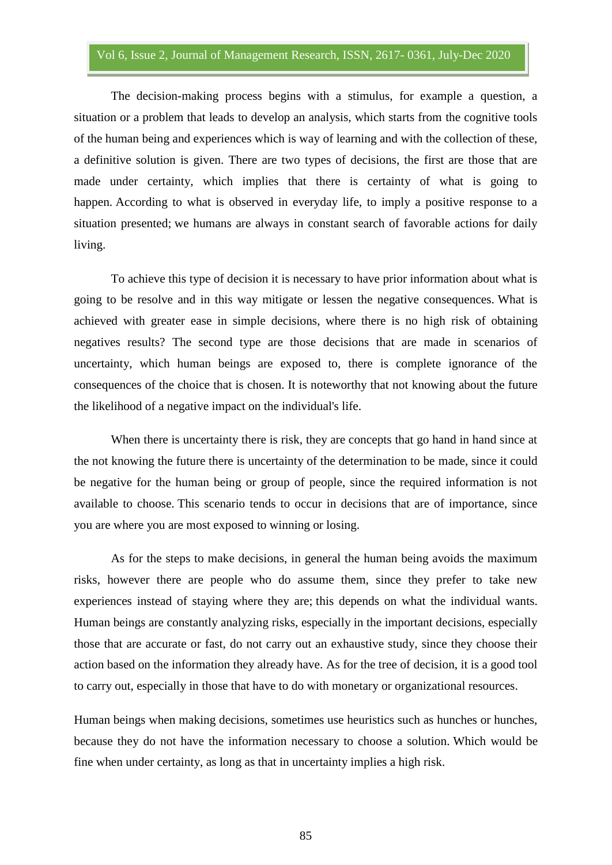The decision-making process begins with a stimulus, for example a question, a situation or a problem that leads to develop an analysis, which starts from the cognitive tools of the human being and experiences which is way of learning and with the collection of these, a definitive solution is given. There are two types of decisions, the first are those that are made under certainty, which implies that there is certainty of what is going to happen. According to what is observed in everyday life, to imply a positive response to a situation presented; we humans are always in constant search of favorable actions for daily living.

To achieve this type of decision it is necessary to have prior information about what is going to be resolve and in this way mitigate or lessen the negative consequences. What is achieved with greater ease in simple decisions, where there is no high risk of obtaining negatives results? The second type are those decisions that are made in scenarios of uncertainty, which human beings are exposed to, there is complete ignorance of the consequences of the choice that is chosen. It is noteworthy that not knowing about the future the likelihood of a negative impact on the individual's life.

When there is uncertainty there is risk, they are concepts that go hand in hand since at the not knowing the future there is uncertainty of the determination to be made, since it could be negative for the human being or group of people, since the required information is not available to choose. This scenario tends to occur in decisions that are of importance, since you are where you are most exposed to winning or losing.

As for the steps to make decisions, in general the human being avoids the maximum risks, however there are people who do assume them, since they prefer to take new experiences instead of staying where they are; this depends on what the individual wants. Human beings are constantly analyzing risks, especially in the important decisions, especially those that are accurate or fast, do not carry out an exhaustive study, since they choose their action based on the information they already have. As for the tree of decision, it is a good tool to carry out, especially in those that have to do with monetary or organizational resources.

Human beings when making decisions, sometimes use heuristics such as hunches or hunches, because they do not have the information necessary to choose a solution. Which would be fine when under certainty, as long as that in uncertainty implies a high risk.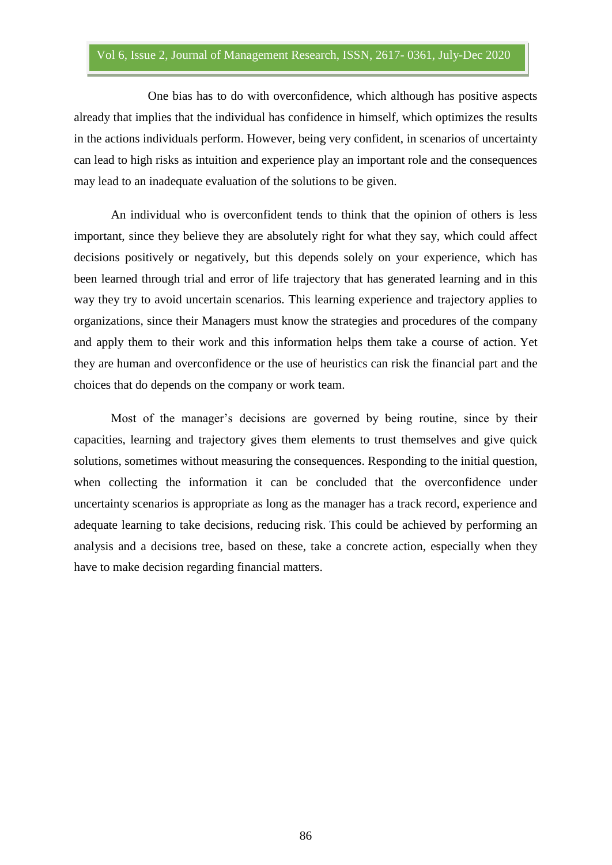One bias has to do with overconfidence, which although has positive aspects already that implies that the individual has confidence in himself, which optimizes the results in the actions individuals perform. However, being very confident, in scenarios of uncertainty can lead to high risks as intuition and experience play an important role and the consequences may lead to an inadequate evaluation of the solutions to be given.

An individual who is overconfident tends to think that the opinion of others is less important, since they believe they are absolutely right for what they say, which could affect decisions positively or negatively, but this depends solely on your experience, which has been learned through trial and error of life trajectory that has generated learning and in this way they try to avoid uncertain scenarios. This learning experience and trajectory applies to organizations, since their Managers must know the strategies and procedures of the company and apply them to their work and this information helps them take a course of action. Yet they are human and overconfidence or the use of heuristics can risk the financial part and the choices that do depends on the company or work team.

Most of the manager's decisions are governed by being routine, since by their capacities, learning and trajectory gives them elements to trust themselves and give quick solutions, sometimes without measuring the consequences. Responding to the initial question, when collecting the information it can be concluded that the overconfidence under uncertainty scenarios is appropriate as long as the manager has a track record, experience and adequate learning to take decisions, reducing risk. This could be achieved by performing an analysis and a decisions tree, based on these, take a concrete action, especially when they have to make decision regarding financial matters.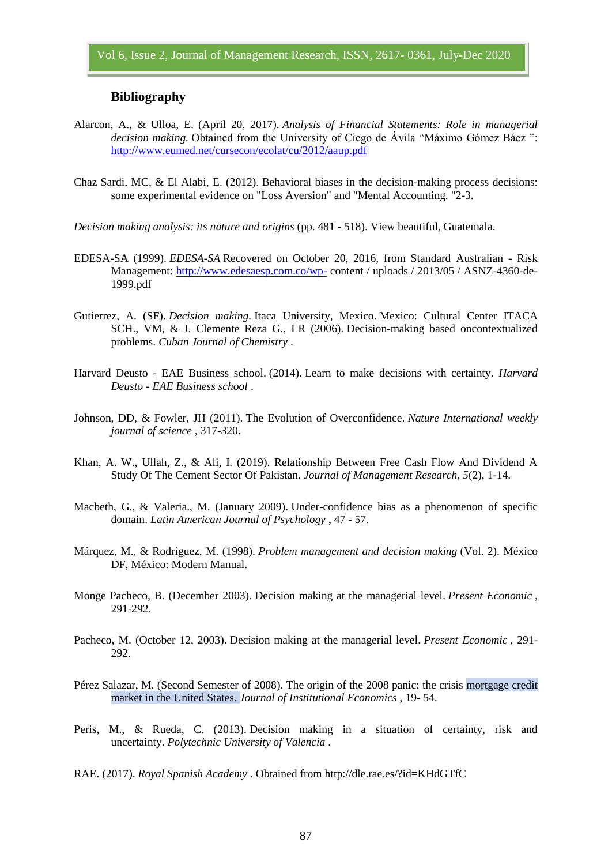#### **Bibliography**

- Alarcon, A., & Ulloa, E. (April 20, 2017). *Analysis of Financial Statements: Role in managerial decision making.* Obtained from the University of Ciego de Ávila "Máximo Gómez Báez ": <http://www.eumed.net/cursecon/ecolat/cu/2012/aaup.pdf>
- Chaz Sardi, MC, & El Alabi, E. (2012). Behavioral biases in the decision-making process decisions: some experimental evidence on "Loss Aversion" and "Mental Accounting. "2-3.
- *Decision making analysis: its nature and origins* (pp. 481 518). View beautiful, Guatemala.
- EDESA-SA (1999). *EDESA-SA* Recovered on October 20, 2016, from Standard Australian Risk Management:<http://www.edesaesp.com.co/wp-> content / uploads / 2013/05 / ASNZ-4360-de-1999.pdf
- Gutierrez, A. (SF). *Decision making.* Itaca University, Mexico. Mexico: Cultural Center ITACA SCH., VM, & J. Clemente Reza G., LR (2006). Decision-making based oncontextualized problems. *Cuban Journal of Chemistry* .
- Harvard Deusto EAE Business school. (2014). Learn to make decisions with certainty. *Harvard Deusto - EAE Business school* .
- Johnson, DD, & Fowler, JH (2011). The Evolution of Overconfidence. *Nature International weekly journal of science* , 317-320.
- Khan, A. W., Ullah, Z., & Ali, I. (2019). Relationship Between Free Cash Flow And Dividend A Study Of The Cement Sector Of Pakistan. *Journal of Management Research*, *5*(2), 1-14.
- Macbeth, G., & Valeria., M. (January 2009). Under-confidence bias as a phenomenon of specific domain. *Latin American Journal of Psychology* , 47 - 57.
- Márquez, M., & Rodriguez, M. (1998). *Problem management and decision making* (Vol. 2). México DF, México: Modern Manual.
- Monge Pacheco, B. (December 2003). Decision making at the managerial level. *Present Economic* , 291-292.
- Pacheco, M. (October 12, 2003). Decision making at the managerial level. *Present Economic* , 291- 292.
- Pérez Salazar, M. (Second Semester of 2008). The origin of the 2008 panic: the crisis mortgage credit market in the United States. *Journal of Institutional Economics* , 19- 54.
- Peris, M., & Rueda, C. (2013). Decision making in a situation of certainty, risk and uncertainty. *Polytechnic University of Valencia* .
- RAE. (2017). *Royal Spanish Academy* . Obtained from http://dle.rae.es/?id=KHdGTfC